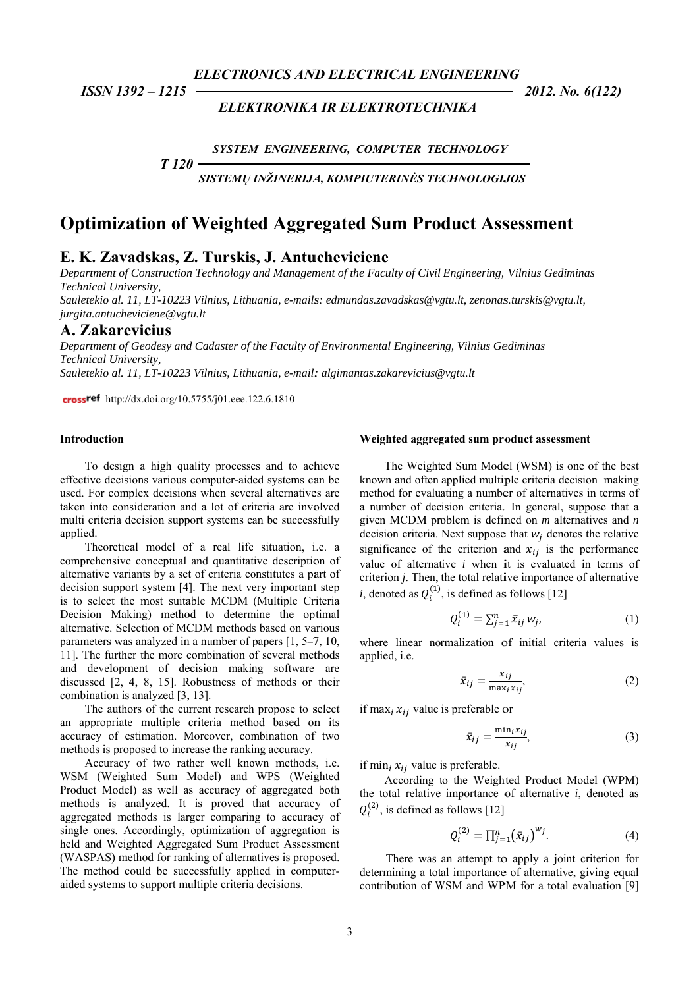**ELECTRONICS AND ELECTRICAL ENGINEERING** 

ISSN 1392 - 1215

# **ELEKTRONIKA IR ELEKTROTECHNIKA**

2012. No. 6(122)

SYSTEM ENGINEERING, COMPUTER TECHNOLOGY

SISTEMŲ INŽINERIJA, KOMPIUTERINĖS TECHNOLOGIJOS

# **Optimization of Weighted Aggregated Sum Product Assessment**

# E. K. Zavadskas, Z. Turskis, J. Antucheviciene

Department of Construction Technology and Management of the Faculty of Civil Engineering, Vilnius Gediminas Technical University.

Sauletekio al. 11, LT-10223 Vilnius, Lithuania, e-mails: edmundas.zavadskas@vgtu.lt, zenonas.turskis@vgtu.lt, jurgita.antucheviciene@vgtu.lt

# A. Zakarevicius

Department of Geodesy and Cadaster of the Faculty of Environmental Engineering, Vilnius Gediminas **Technical University.** Sauletekio al. 11. LT-10223 Vilnius. Lithuania. e-mail: algimantas.zakarevicius@vgtu.lt

crossref http://dx.doi.org/10.5755/j01.eee.122.6.1810

 $T120$ 

### Introduction

To design a high quality processes and to achieve effective decisions various computer-aided systems can be used. For complex decisions when several alternatives are taken into consideration and a lot of criteria are involved multi criteria decision support systems can be successfully applied.

Theoretical model of a real life situation, i.e. a comprehensive conceptual and quantitative description of alternative variants by a set of criteria constitutes a part of decision support system [4]. The next very important step is to select the most suitable MCDM (Multiple Criteria Decision Making) method to determine the optimal alternative. Selection of MCDM methods based on various parameters was analyzed in a number of papers  $[1, 5-7, 10, 10]$ 11]. The further the more combination of several methods and development of decision making software are discussed [2, 4, 8, 15]. Robustness of methods or their combination is analyzed [3, 13].

The authors of the current research propose to select an appropriate multiple criteria method based on its accuracy of estimation. Moreover, combination of two methods is proposed to increase the ranking accuracy.

Accuracy of two rather well known methods, i.e. WSM (Weighted Sum Model) and WPS (Weighted Product Model) as well as accuracy of aggregated both methods is analyzed. It is proved that accuracy of aggregated methods is larger comparing to accuracy of single ones. Accordingly, optimization of aggregation is held and Weighted Aggregated Sum Product Assessment (WASPAS) method for ranking of alternatives is proposed. The method could be successfully applied in computeraided systems to support multiple criteria decisions.

#### Weighted aggregated sum product assessment

The Weighted Sum Model (WSM) is one of the best known and often applied multiple criteria decision making method for evaluating a number of alternatives in terms of a number of decision criteria. In general, suppose that a given MCDM problem is defined on  $m$  alternatives and  $n$ decision criteria. Next suppose that  $w_i$  denotes the relative significance of the criterion and  $x_{ij}$  is the performance value of alternative  $i$  when it is evaluated in terms of criterion *j*. Then, the total relative importance of alternative *i*, denoted as  $Q_i^{(1)}$ , is defined as follows [12]

$$
Q_i^{(1)} = \sum_{j=1}^n \bar{x}_{ij} w_j,
$$
 (1)

where linear normalization of initial criteria values is applied, i.e.

$$
\bar{x}_{ij} = \frac{x_{ij}}{\max_i x_{ij}},\tag{2}
$$

if max<sub>i</sub>  $x_{ij}$  value is preferable or

$$
\bar{x}_{ij} = \frac{\min_i x_{ij}}{x_{ij}},\tag{3}
$$

if min<sub>i</sub>  $x_{ij}$  value is preferable.

According to the Weighted Product Model (WPM) the total relative importance of alternative  $i$ , denoted as  $Q_i^{(2)}$ , is defined as follows [12]

$$
Q_i^{(2)} = \prod_{j=1}^n (\bar{x}_{ij})^{W_j}.
$$
 (4)

There was an attempt to apply a joint criterion for determining a total importance of alternative, giving equal contribution of WSM and WPM for a total evaluation [9]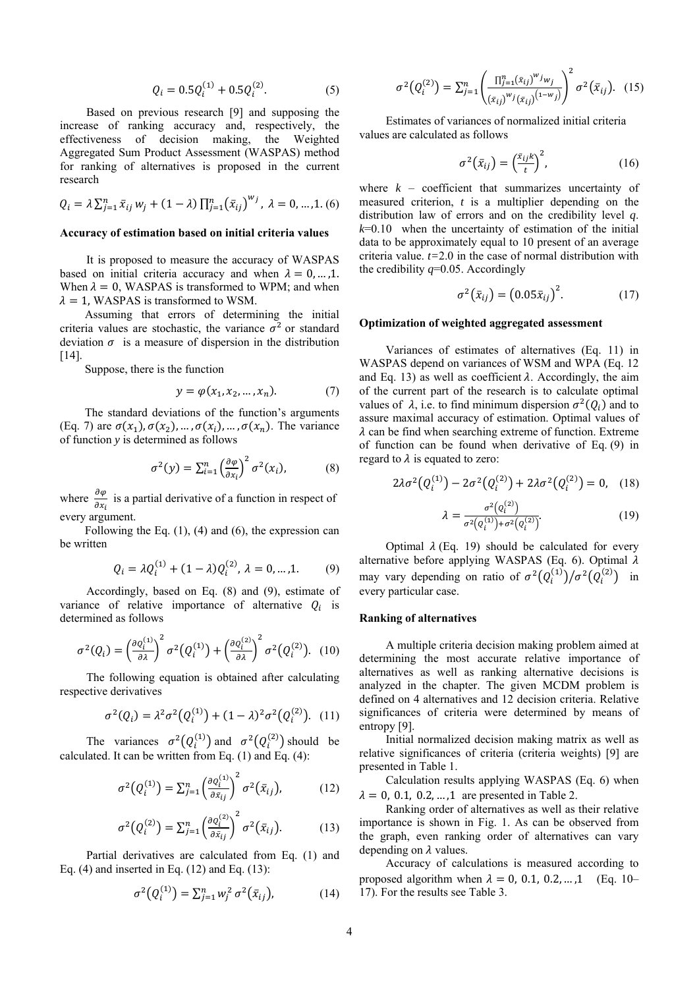$$
Q_i = 0.5Q_i^{(1)} + 0.5Q_i^{(2)}.
$$
 (5)

Based on previous research [9] and supposing the increase of ranking accuracy and, respectively, the effectiveness of decision making, the Weighted Aggregated Sum Product Assessment (WASPAS) method for ranking of alternatives is proposed in the current research

$$
Q_i = \lambda \sum_{j=1}^n \bar{x}_{ij} w_j + (1 - \lambda) \prod_{j=1}^n (\bar{x}_{ij})^{w_j}, \lambda = 0, ..., 1. (6)
$$

#### **Accuracy of estimation based on initial criteria values**

It is proposed to measure the accuracy of WASPAS based on initial criteria accuracy and when  $\lambda = 0, \dots, 1$ . When  $\lambda = 0$ , WASPAS is transformed to WPM; and when  $\lambda = 1$ , WASPAS is transformed to WSM.

Assuming that errors of determining the initial criteria values are stochastic, the variance  $\sigma^2$  or standard deviation  $\sigma$  is a measure of dispersion in the distribution [14].

Suppose, there is the function

$$
y = \varphi(x_1, x_2, \dots, x_n). \tag{7}
$$

The standard deviations of the function's arguments (Eq. 7) are  $\sigma(x_1)$ ,  $\sigma(x_2)$ , ...,  $\sigma(x_i)$ , ...,  $\sigma(x_n)$ . The variance of function *y* is determined as follows

$$
\sigma^2(y) = \sum_{i=1}^n \left(\frac{\partial \varphi}{\partial x_i}\right)^2 \sigma^2(x_i),\tag{8}
$$

where  $\frac{\partial \varphi}{\partial x_i}$  is a partial derivative of a function in respect of every argument.

Following the Eq.  $(1)$ ,  $(4)$  and  $(6)$ , the expression can be written

$$
Q_i = \lambda Q_i^{(1)} + (1 - \lambda)Q_i^{(2)}, \lambda = 0, ..., 1.
$$
 (9)

Accordingly, based on Eq. (8) and (9), estimate of variance of relative importance of alternative  $Q_i$  is determined as follows

$$
\sigma^2(Q_i) = \left(\frac{\partial Q_i^{(1)}}{\partial \lambda}\right)^2 \sigma^2(Q_i^{(1)}) + \left(\frac{\partial Q_i^{(2)}}{\partial \lambda}\right)^2 \sigma^2(Q_i^{(2)}).
$$
 (10)

The following equation is obtained after calculating respective derivatives

$$
\sigma^2(Q_i) = \lambda^2 \sigma^2(Q_i^{(1)}) + (1 - \lambda)^2 \sigma^2(Q_i^{(2)}).
$$
 (11)

The variances  $\sigma^2(Q_i^{(1)})$  and  $\sigma^2(Q_i^{(2)})$  should be calculated. It can be written from Eq. (1) and Eq. (4):

$$
\sigma^2(Q_i^{(1)}) = \sum_{j=1}^n \left(\frac{\partial Q_i^{(1)}}{\partial \bar{x}_{ij}}\right)^2 \sigma^2(\bar{x}_{ij}),\tag{12}
$$

$$
\sigma^2(Q_i^{(2)}) = \sum_{j=1}^n \left(\frac{\partial Q_i^{(2)}}{\partial \bar{x}_{ij}}\right)^2 \sigma^2(\bar{x}_{ij}).\tag{13}
$$

Partial derivatives are calculated from Eq. (1) and Eq.  $(4)$  and inserted in Eq.  $(12)$  and Eq.  $(13)$ :

$$
\sigma^2(Q_i^{(1)}) = \sum_{j=1}^n w_j^2 \sigma^2(\bar{x}_{ij}), \qquad (14)
$$

$$
\sigma^{2}(Q_{i}^{(2)}) = \sum_{j=1}^{n} \left( \frac{\prod_{j=1}^{n} (\bar{x}_{ij})^{w_{j}} w_{j}}{(\bar{x}_{ij})^{w_{j}} (\bar{x}_{ij})^{(1-w_{j})}} \right)^{2} \sigma^{2}(\bar{x}_{ij}). \quad (15)
$$

Estimates of variances of normalized initial criteria values are calculated as follows

$$
\sigma^2(\bar{x}_{ij}) = \left(\frac{\bar{x}_{ij}k}{t}\right)^2, \tag{16}
$$

where  $k -$  coefficient that summarizes uncertainty of measured criterion, *t* is a multiplier depending on the distribution law of errors and on the credibility level *q*.  $k=0.10$  when the uncertainty of estimation of the initial data to be approximately equal to 10 present of an average criteria value. *t=*2.0 in the case of normal distribution with the credibility  $q=0.05$ . Accordingly

$$
\sigma^2(\bar{x}_{ij}) = (0.05\bar{x}_{ij})^2. \tag{17}
$$

#### **Optimization of weighted aggregated assessment**

Variances of estimates of alternatives (Eq. 11) in WASPAS depend on variances of WSM and WPA (Eq. 12 and Eq. 13) as well as coefficient  $\lambda$ . Accordingly, the aim of the current part of the research is to calculate optimal values of  $\lambda$ , i.e. to find minimum dispersion  $\sigma^2(Q_i)$  and to assure maximal accuracy of estimation. Optimal values of  $\lambda$  can be find when searching extreme of function. Extreme of function can be found when derivative of Eq. (9) in regard to  $\lambda$  is equated to zero:

$$
2\lambda \sigma^{2}(Q_{i}^{(1)}) - 2\sigma^{2}(Q_{i}^{(2)}) + 2\lambda \sigma^{2}(Q_{i}^{(2)}) = 0, \quad (18)
$$

$$
\lambda = \frac{\sigma^2(Q_i^{(2)})}{\sigma^2(Q_i^{(1)}) + \sigma^2(Q_i^{(2)})}.
$$
\n(19)

Optimal  $\lambda$  (Eq. 19) should be calculated for every alternative before applying WASPAS (Eq. 6). Optimal  $\lambda$ may vary depending on ratio of  $\sigma^2(Q_i^{(1)})/\sigma^2(Q_i^{(2)})$  in every particular case.

#### **Ranking of alternatives**

A multiple criteria decision making problem aimed at determining the most accurate relative importance of alternatives as well as ranking alternative decisions is analyzed in the chapter. The given MCDM problem is defined on 4 alternatives and 12 decision criteria. Relative significances of criteria were determined by means of entropy [9].

Initial normalized decision making matrix as well as relative significances of criteria (criteria weights) [9] are presented in Table 1.

Calculation results applying WASPAS (Eq. 6) when  $\lambda = 0, 0.1, 0.2, \dots, 1$  are presented in Table 2.

Ranking order of alternatives as well as their relative importance is shown in Fig. 1. As can be observed from the graph, even ranking order of alternatives can vary depending on  $\lambda$  values.

Accuracy of calculations is measured according to proposed algorithm when  $\lambda = 0$ , 0.1, 0.2, ..., 1 (Eq. 10– 17). For the results see Table 3.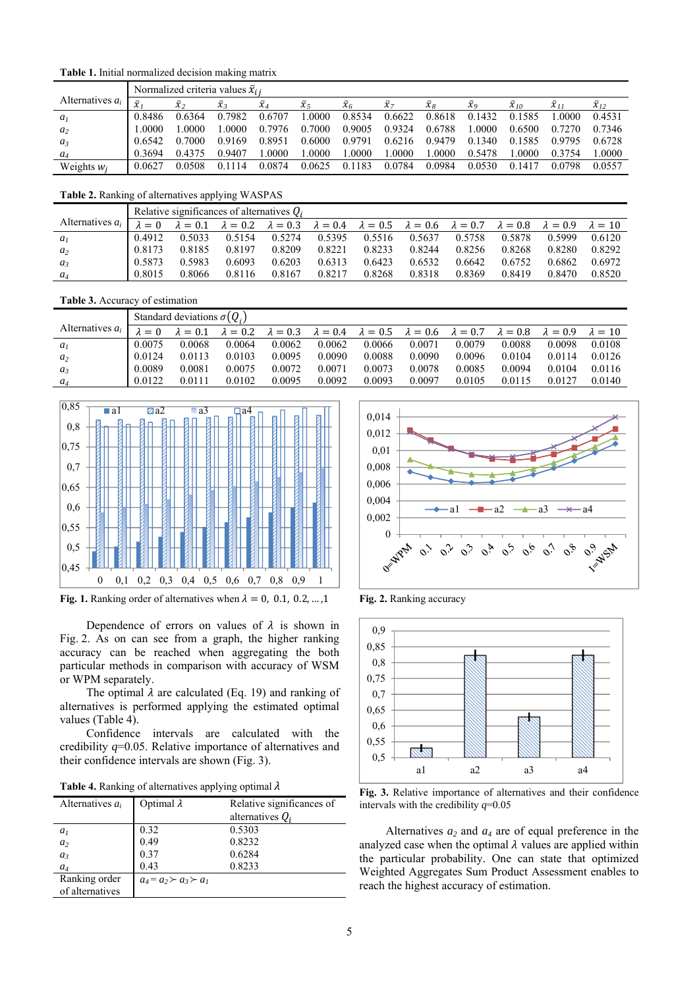**Table 1.** Initial normalized decision making matrix

|                    |                     | Normalized criteria values $\bar{x}_{ii}$ |                             |                |                    |                       |            |                                |                     |                |                        |                        |  |
|--------------------|---------------------|-------------------------------------------|-----------------------------|----------------|--------------------|-----------------------|------------|--------------------------------|---------------------|----------------|------------------------|------------------------|--|
| Alternatives $a_i$ | $\overline{ }$<br>∼ | $\overline{x}$                            | $\overline{v}$<br>$\lambda$ | $\bar{\chi}_4$ | $\overline{x}_{5}$ | $\overline{\chi}_{6}$ | $\chi_{7}$ | $\chi_{\scriptscriptstyle{R}}$ | $\overline{\chi}_0$ | $\bar{x}_{10}$ | $\overline{\chi}_{11}$ | $\overline{\chi}_{12}$ |  |
| a <sub>l</sub>     | 0.8486              | 0.6364                                    | 0.7982                      | 0.6707         | .0000              | 0.8534                | 0.6622     | 0.8618                         | 0.1432              | 0.1585         | .0000                  | 0.4531                 |  |
| $a_2$              | 0000                | -0000                                     | 0000                        | 0.7976         | 0.7000             | 0.9005                | 0.9324     | 0.6788                         | .0000               | 0.6500         | 0.7270                 | 0.7346                 |  |
| $a_3$              | 0.6542              | 0.7000                                    | 0.9169                      | 0.8951         | 0.6000             | 0.9791                | 0.6216     | 0.9479                         | 0.1340              | 0.1585         | 0.9795                 | 0.6728                 |  |
| $a_4$              | 0.3694              | 0.4375                                    | 0.9407                      | .0000          | .0000              | .0000                 | .0000      | .0000                          | 0.5478              | .0000          | 0 3 7 5 4              | .0000                  |  |
| Weights $w_i$      | 0.0627              | 0.0508                                    | 114<br>01                   | 0 0874         | 0.0625             | 0.1183                | 0.0784     | 0.0984                         | 0.0530              | 0.1417         | 0.0798                 | 0.0557                 |  |

**Table 2.** Ranking of alternatives applying WASPAS

|                    | Relative significances of alternatives $Q_i$ |        |        |        |        |                                                                                                                                                                |        |        |        |        |        |
|--------------------|----------------------------------------------|--------|--------|--------|--------|----------------------------------------------------------------------------------------------------------------------------------------------------------------|--------|--------|--------|--------|--------|
| Alternatives $a_i$ | $\lambda = 0$                                |        |        |        |        | $\lambda = 0.1$ $\lambda = 0.2$ $\lambda = 0.3$ $\lambda = 0.4$ $\lambda = 0.5$ $\lambda = 0.6$ $\lambda = 0.7$ $\lambda = 0.8$ $\lambda = 0.9$ $\lambda = 10$ |        |        |        |        |        |
| a <sub>I</sub>     | 0.4912                                       | 0.5033 | 0.5154 | 0.5274 | 0.5395 | 0.5516                                                                                                                                                         | 0.5637 | 0.5758 | 0.5878 | 0.5999 | 0.6120 |
| a <sub>2</sub>     | 0.8173                                       | 0.8185 | 0.8197 | 0.8209 | 0.8221 | 0.8233                                                                                                                                                         | 0.8244 | 0.8256 | 0.8268 | 0.8280 | 0.8292 |
| $a_3$              | 0.5873                                       | 0.5983 | 0.6093 | 0.6203 | 0.6313 | 0.6423                                                                                                                                                         | 0.6532 | 0.6642 | 0.6752 | 0.6862 | 0.6972 |
| $a_4$              | 0.8015                                       | 0.8066 | 0.8116 | 0.8167 | 0.8217 | 0.8268                                                                                                                                                         | 0.8318 | 0.8369 | 0.8419 | 0.8470 | 0.8520 |

#### **Table 3.** Accuracy of estimation

|                    |        | Standard deviations $\sigma(Q_i)$ |        |        |                                                                                                                                 |        |        |        |        |        |                |
|--------------------|--------|-----------------------------------|--------|--------|---------------------------------------------------------------------------------------------------------------------------------|--------|--------|--------|--------|--------|----------------|
| Alternatives $a_i$ |        | $\lambda = 0.1$                   |        |        | $\lambda = 0.2$ $\lambda = 0.3$ $\lambda = 0.4$ $\lambda = 0.5$ $\lambda = 0.6$ $\lambda = 0.7$ $\lambda = 0.8$ $\lambda = 0.9$ |        |        |        |        |        | $\lambda = 10$ |
| a <sub>1</sub>     | 0.0075 | 0.0068                            | 0.0064 | 0.0062 | 0.0062                                                                                                                          | 0.0066 | 0.0071 | 0.0079 | 0.0088 | 0.0098 | 0.0108         |
| a <sub>2</sub>     | 0.0124 | 0.0113                            | 0.0103 | 0.0095 | 0.0090                                                                                                                          | 0.0088 | 0.0090 | 0.0096 | 0.0104 | 0.0114 | 0.0126         |
| $a_3$              | 0.0089 | 0.0081                            | 0.0075 | 0.0072 | 0.0071                                                                                                                          | 0.0073 | 0.0078 | 0.0085 | 0.0094 | 0.0104 | 0.0116         |
| $a_4$              | 0.0122 | 0 0 1 1 1                         | 0.0102 | 0.0095 | 0.0092                                                                                                                          | 0.0093 | 0.0097 | 0.0105 | 0.0115 | 0.0127 | 0.0140         |



**Fig. 1.** Ranking order of alternatives when  $\lambda = 0$ , 0.1, 0.2, ..., 1

Dependence of errors on values of  $\lambda$  is shown in Fig. 2. As on can see from a graph, the higher ranking accuracy can be reached when aggregating the both particular methods in comparison with accuracy of WSM or WPM separately.

The optimal  $\lambda$  are calculated (Eq. 19) and ranking of alternatives is performed applying the estimated optimal values (Table 4).

Confidence intervals are calculated with the credibility *q*=0.05. Relative importance of alternatives and their confidence intervals are shown (Fig. 3).

**Table 4.** Ranking of alternatives applying optimal  $\lambda$ 

| Alternatives $a_i$ | Optimal $\lambda$               | Relative significances of |  |  |  |  |
|--------------------|---------------------------------|---------------------------|--|--|--|--|
|                    |                                 | alternatives $Q_i$        |  |  |  |  |
| a <sub>1</sub>     | 0.32                            | 0.5303                    |  |  |  |  |
| a <sub>2</sub>     | 0.49                            | 0.8232                    |  |  |  |  |
| $a_3$              | 0.37                            | 0.6284                    |  |  |  |  |
| $a_4$              | 0.43                            | 0.8233                    |  |  |  |  |
| Ranking order      | $a_4 = a_2 \succ a_3 \succ a_1$ |                           |  |  |  |  |
| of alternatives    |                                 |                           |  |  |  |  |



**Fig. 2.** Ranking accuracy



**Fig. 3.** Relative importance of alternatives and their confidence intervals with the credibility *q*=0.05

Alternatives  $a_2$  and  $a_4$  are of equal preference in the analyzed case when the optimal  $\lambda$  values are applied within the particular probability. One can state that optimized Weighted Aggregates Sum Product Assessment enables to reach the highest accuracy of estimation.